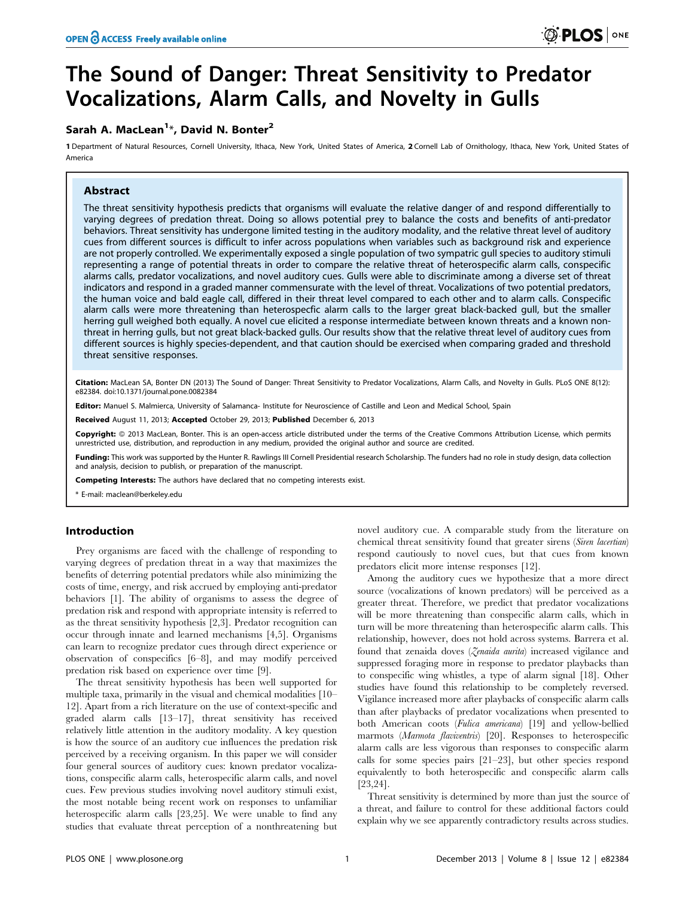# The Sound of Danger: Threat Sensitivity to Predator Vocalizations, Alarm Calls, and Novelty in Gulls

# Sarah A. MacLean<sup>1</sup>\*, David N. Bonter<sup>2</sup>

1 Department of Natural Resources, Cornell University, Ithaca, New York, United States of America, 2 Cornell Lab of Ornithology, Ithaca, New York, United States of America

# Abstract

The threat sensitivity hypothesis predicts that organisms will evaluate the relative danger of and respond differentially to varying degrees of predation threat. Doing so allows potential prey to balance the costs and benefits of anti-predator behaviors. Threat sensitivity has undergone limited testing in the auditory modality, and the relative threat level of auditory cues from different sources is difficult to infer across populations when variables such as background risk and experience are not properly controlled. We experimentally exposed a single population of two sympatric gull species to auditory stimuli representing a range of potential threats in order to compare the relative threat of heterospecific alarm calls, conspecific alarms calls, predator vocalizations, and novel auditory cues. Gulls were able to discriminate among a diverse set of threat indicators and respond in a graded manner commensurate with the level of threat. Vocalizations of two potential predators, the human voice and bald eagle call, differed in their threat level compared to each other and to alarm calls. Conspecific alarm calls were more threatening than heterospecfic alarm calls to the larger great black-backed gull, but the smaller herring gull weighed both equally. A novel cue elicited a response intermediate between known threats and a known nonthreat in herring gulls, but not great black-backed gulls. Our results show that the relative threat level of auditory cues from different sources is highly species-dependent, and that caution should be exercised when comparing graded and threshold threat sensitive responses.

Citation: MacLean SA, Bonter DN (2013) The Sound of Danger: Threat Sensitivity to Predator Vocalizations, Alarm Calls, and Novelty in Gulls. PLoS ONE 8(12): e82384. doi:10.1371/journal.pone.0082384

Editor: Manuel S. Malmierca, University of Salamanca- Institute for Neuroscience of Castille and Leon and Medical School, Spain

Received August 11, 2013; Accepted October 29, 2013; Published December 6, 2013

Copyright: © 2013 MacLean, Bonter. This is an open-access article distributed under the terms of the Creative Commons Attribution License, which permits unrestricted use, distribution, and reproduction in any medium, provided the original author and source are credited.

Funding: This work was supported by the Hunter R. Rawlings III Cornell Presidential research Scholarship. The funders had no role in study design, data collection and analysis, decision to publish, or preparation of the manuscript.

Competing Interests: The authors have declared that no competing interests exist.

\* E-mail: maclean@berkeley.edu

# Introduction

Prey organisms are faced with the challenge of responding to varying degrees of predation threat in a way that maximizes the benefits of deterring potential predators while also minimizing the costs of time, energy, and risk accrued by employing anti-predator behaviors [1]. The ability of organisms to assess the degree of predation risk and respond with appropriate intensity is referred to as the threat sensitivity hypothesis [2,3]. Predator recognition can occur through innate and learned mechanisms [4,5]. Organisms can learn to recognize predator cues through direct experience or observation of conspecifics [6–8], and may modify perceived predation risk based on experience over time [9].

The threat sensitivity hypothesis has been well supported for multiple taxa, primarily in the visual and chemical modalities [10– 12]. Apart from a rich literature on the use of context-specific and graded alarm calls [13–17], threat sensitivity has received relatively little attention in the auditory modality. A key question is how the source of an auditory cue influences the predation risk perceived by a receiving organism. In this paper we will consider four general sources of auditory cues: known predator vocalizations, conspecific alarm calls, heterospecific alarm calls, and novel cues. Few previous studies involving novel auditory stimuli exist, the most notable being recent work on responses to unfamiliar heterospecific alarm calls [23,25]. We were unable to find any studies that evaluate threat perception of a nonthreatening but

novel auditory cue. A comparable study from the literature on chemical threat sensitivity found that greater sirens (Siren lacertian) respond cautiously to novel cues, but that cues from known predators elicit more intense responses [12].

Among the auditory cues we hypothesize that a more direct source (vocalizations of known predators) will be perceived as a greater threat. Therefore, we predict that predator vocalizations will be more threatening than conspecific alarm calls, which in turn will be more threatening than heterospecific alarm calls. This relationship, however, does not hold across systems. Barrera et al. found that zenaida doves (Zenaida aurita) increased vigilance and suppressed foraging more in response to predator playbacks than to conspecific wing whistles, a type of alarm signal [18]. Other studies have found this relationship to be completely reversed. Vigilance increased more after playbacks of conspecific alarm calls than after playbacks of predator vocalizations when presented to both American coots (Fulica americana) [19] and yellow-bellied marmots (Marmota flaviventris) [20]. Responses to heterospecific alarm calls are less vigorous than responses to conspecific alarm calls for some species pairs [21–23], but other species respond equivalently to both heterospecific and conspecific alarm calls [23,24].

Threat sensitivity is determined by more than just the source of a threat, and failure to control for these additional factors could explain why we see apparently contradictory results across studies.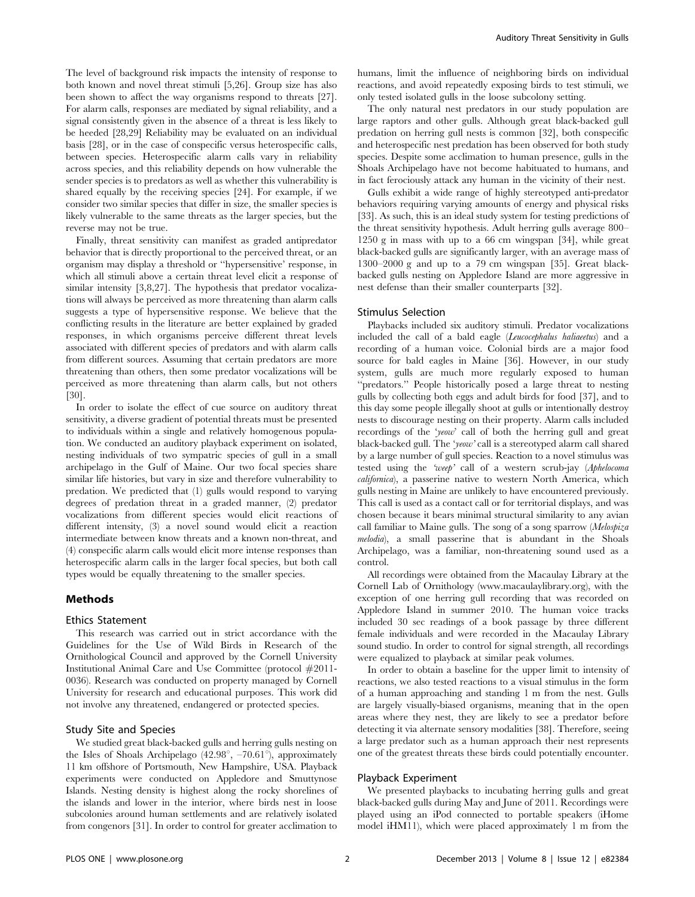The level of background risk impacts the intensity of response to both known and novel threat stimuli [5,26]. Group size has also been shown to affect the way organisms respond to threats [27]. For alarm calls, responses are mediated by signal reliability, and a signal consistently given in the absence of a threat is less likely to be heeded [28,29] Reliability may be evaluated on an individual basis [28], or in the case of conspecific versus heterospecific calls, between species. Heterospecific alarm calls vary in reliability across species, and this reliability depends on how vulnerable the sender species is to predators as well as whether this vulnerability is shared equally by the receiving species [24]. For example, if we consider two similar species that differ in size, the smaller species is likely vulnerable to the same threats as the larger species, but the reverse may not be true.

Finally, threat sensitivity can manifest as graded antipredator behavior that is directly proportional to the perceived threat, or an organism may display a threshold or ''hypersensitive' response, in which all stimuli above a certain threat level elicit a response of similar intensity [3,8,27]. The hypothesis that predator vocalizations will always be perceived as more threatening than alarm calls suggests a type of hypersensitive response. We believe that the conflicting results in the literature are better explained by graded responses, in which organisms perceive different threat levels associated with different species of predators and with alarm calls from different sources. Assuming that certain predators are more threatening than others, then some predator vocalizations will be perceived as more threatening than alarm calls, but not others [30].

In order to isolate the effect of cue source on auditory threat sensitivity, a diverse gradient of potential threats must be presented to individuals within a single and relatively homogenous population. We conducted an auditory playback experiment on isolated, nesting individuals of two sympatric species of gull in a small archipelago in the Gulf of Maine. Our two focal species share similar life histories, but vary in size and therefore vulnerability to predation. We predicted that (1) gulls would respond to varying degrees of predation threat in a graded manner, (2) predator vocalizations from different species would elicit reactions of different intensity, (3) a novel sound would elicit a reaction intermediate between know threats and a known non-threat, and (4) conspecific alarm calls would elicit more intense responses than heterospecific alarm calls in the larger focal species, but both call types would be equally threatening to the smaller species.

### Methods

#### Ethics Statement

This research was carried out in strict accordance with the Guidelines for the Use of Wild Birds in Research of the Ornithological Council and approved by the Cornell University Institutional Animal Care and Use Committee (protocol #2011- 0036). Research was conducted on property managed by Cornell University for research and educational purposes. This work did not involve any threatened, endangered or protected species.

# Study Site and Species

We studied great black-backed gulls and herring gulls nesting on the Isles of Shoals Archipelago  $(42.98^{\circ}, -70.61^{\circ})$ , approximately 11 km offshore of Portsmouth, New Hampshire, USA. Playback experiments were conducted on Appledore and Smuttynose Islands. Nesting density is highest along the rocky shorelines of the islands and lower in the interior, where birds nest in loose subcolonies around human settlements and are relatively isolated from congenors [31]. In order to control for greater acclimation to humans, limit the influence of neighboring birds on individual reactions, and avoid repeatedly exposing birds to test stimuli, we only tested isolated gulls in the loose subcolony setting.

The only natural nest predators in our study population are large raptors and other gulls. Although great black-backed gull predation on herring gull nests is common [32], both conspecific and heterospecific nest predation has been observed for both study species. Despite some acclimation to human presence, gulls in the Shoals Archipelago have not become habituated to humans, and in fact ferociously attack any human in the vicinity of their nest.

Gulls exhibit a wide range of highly stereotyped anti-predator behaviors requiring varying amounts of energy and physical risks [33]. As such, this is an ideal study system for testing predictions of the threat sensitivity hypothesis. Adult herring gulls average 800– 1250 g in mass with up to a 66 cm wingspan [34], while great black-backed gulls are significantly larger, with an average mass of 1300–2000 g and up to a 79 cm wingspan [35]. Great blackbacked gulls nesting on Appledore Island are more aggressive in nest defense than their smaller counterparts [32].

#### Stimulus Selection

Playbacks included six auditory stimuli. Predator vocalizations included the call of a bald eagle (Leucocephalus haliaeetus) and a recording of a human voice. Colonial birds are a major food source for bald eagles in Maine [36]. However, in our study system, gulls are much more regularly exposed to human "predators." People historically posed a large threat to nesting gulls by collecting both eggs and adult birds for food [37], and to this day some people illegally shoot at gulls or intentionally destroy nests to discourage nesting on their property. Alarm calls included recordings of the 'yeow' call of both the herring gull and great black-backed gull. The 'yeow' call is a stereotyped alarm call shared by a large number of gull species. Reaction to a novel stimulus was tested using the 'weep' call of a western scrub-jay (Aphelocoma californica), a passerine native to western North America, which gulls nesting in Maine are unlikely to have encountered previously. This call is used as a contact call or for territorial displays, and was chosen because it bears minimal structural similarity to any avian call familiar to Maine gulls. The song of a song sparrow (Melospiza melodia), a small passerine that is abundant in the Shoals Archipelago, was a familiar, non-threatening sound used as a control.

All recordings were obtained from the Macaulay Library at the Cornell Lab of Ornithology (www.macaulaylibrary.org), with the exception of one herring gull recording that was recorded on Appledore Island in summer 2010. The human voice tracks included 30 sec readings of a book passage by three different female individuals and were recorded in the Macaulay Library sound studio. In order to control for signal strength, all recordings were equalized to playback at similar peak volumes.

In order to obtain a baseline for the upper limit to intensity of reactions, we also tested reactions to a visual stimulus in the form of a human approaching and standing 1 m from the nest. Gulls are largely visually-biased organisms, meaning that in the open areas where they nest, they are likely to see a predator before detecting it via alternate sensory modalities [38]. Therefore, seeing a large predator such as a human approach their nest represents one of the greatest threats these birds could potentially encounter.

# Playback Experiment

We presented playbacks to incubating herring gulls and great black-backed gulls during May and June of 2011. Recordings were played using an iPod connected to portable speakers (iHome model iHM11), which were placed approximately 1 m from the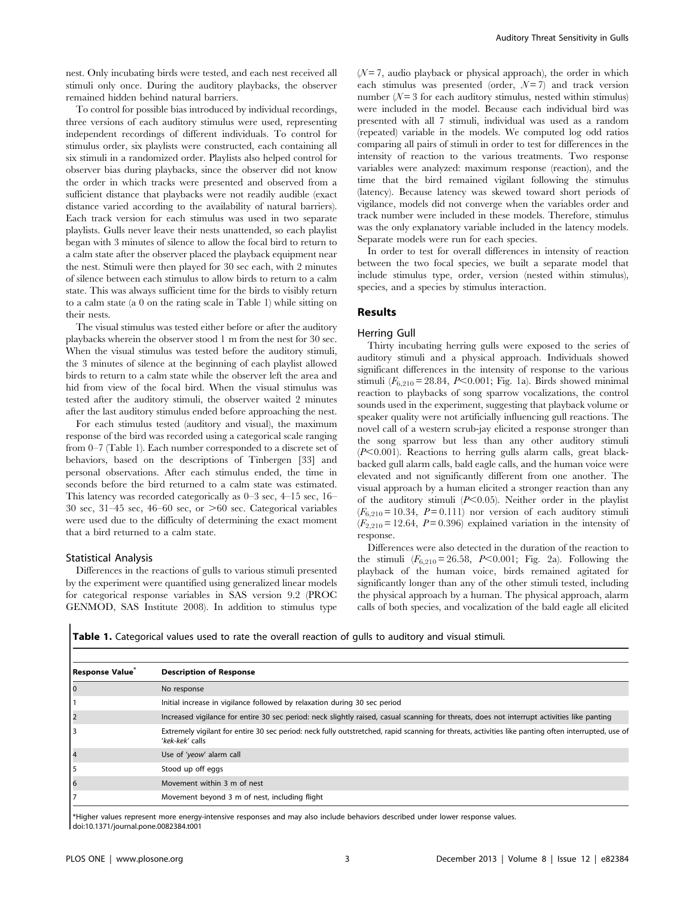nest. Only incubating birds were tested, and each nest received all stimuli only once. During the auditory playbacks, the observer remained hidden behind natural barriers.

To control for possible bias introduced by individual recordings, three versions of each auditory stimulus were used, representing independent recordings of different individuals. To control for stimulus order, six playlists were constructed, each containing all six stimuli in a randomized order. Playlists also helped control for observer bias during playbacks, since the observer did not know the order in which tracks were presented and observed from a sufficient distance that playbacks were not readily audible (exact distance varied according to the availability of natural barriers). Each track version for each stimulus was used in two separate playlists. Gulls never leave their nests unattended, so each playlist began with 3 minutes of silence to allow the focal bird to return to a calm state after the observer placed the playback equipment near the nest. Stimuli were then played for 30 sec each, with 2 minutes of silence between each stimulus to allow birds to return to a calm state. This was always sufficient time for the birds to visibly return to a calm state (a 0 on the rating scale in Table 1) while sitting on their nests.

The visual stimulus was tested either before or after the auditory playbacks wherein the observer stood 1 m from the nest for 30 sec. When the visual stimulus was tested before the auditory stimuli, the 3 minutes of silence at the beginning of each playlist allowed birds to return to a calm state while the observer left the area and hid from view of the focal bird. When the visual stimulus was tested after the auditory stimuli, the observer waited 2 minutes after the last auditory stimulus ended before approaching the nest.

For each stimulus tested (auditory and visual), the maximum response of the bird was recorded using a categorical scale ranging from 0–7 (Table 1). Each number corresponded to a discrete set of behaviors, based on the descriptions of Tinbergen [33] and personal observations. After each stimulus ended, the time in seconds before the bird returned to a calm state was estimated. This latency was recorded categorically as 0–3 sec, 4–15 sec, 16– 30 sec, 31–45 sec, 46–60 sec, or  $>60$  sec. Categorical variables were used due to the difficulty of determining the exact moment that a bird returned to a calm state.

#### Statistical Analysis

Differences in the reactions of gulls to various stimuli presented by the experiment were quantified using generalized linear models for categorical response variables in SAS version 9.2 (PROC GENMOD, SAS Institute 2008). In addition to stimulus type

 $(N=7, \text{ audio playback or physical approach}),$  the order in which each stimulus was presented (order,  $N = 7$ ) and track version number  $(N = 3$  for each auditory stimulus, nested within stimulus) were included in the model. Because each individual bird was presented with all 7 stimuli, individual was used as a random (repeated) variable in the models. We computed log odd ratios comparing all pairs of stimuli in order to test for differences in the intensity of reaction to the various treatments. Two response variables were analyzed: maximum response (reaction), and the time that the bird remained vigilant following the stimulus (latency). Because latency was skewed toward short periods of vigilance, models did not converge when the variables order and track number were included in these models. Therefore, stimulus was the only explanatory variable included in the latency models. Separate models were run for each species.

In order to test for overall differences in intensity of reaction between the two focal species, we built a separate model that include stimulus type, order, version (nested within stimulus), species, and a species by stimulus interaction.

#### Results

#### Herring Gull

Thirty incubating herring gulls were exposed to the series of auditory stimuli and a physical approach. Individuals showed significant differences in the intensity of response to the various stimuli ( $F_{6,210} = 28.84$ ,  $P < 0.001$ ; Fig. 1a). Birds showed minimal reaction to playbacks of song sparrow vocalizations, the control sounds used in the experiment, suggesting that playback volume or speaker quality were not artificially influencing gull reactions. The novel call of a western scrub-jay elicited a response stronger than the song sparrow but less than any other auditory stimuli  $(P<0.001)$ . Reactions to herring gulls alarm calls, great blackbacked gull alarm calls, bald eagle calls, and the human voice were elevated and not significantly different from one another. The visual approach by a human elicited a stronger reaction than any of the auditory stimuli ( $P<0.05$ ). Neither order in the playlist  $(F_{6,210} = 10.34, P = 0.111)$  nor version of each auditory stimuli  $(F_{2,210} = 12.64, P = 0.396)$  explained variation in the intensity of response.

Differences were also detected in the duration of the reaction to the stimuli  $(F_{6,210} = 26.58, P<0.001;$  Fig. 2a). Following the playback of the human voice, birds remained agitated for significantly longer than any of the other stimuli tested, including the physical approach by a human. The physical approach, alarm calls of both species, and vocalization of the bald eagle all elicited

Table 1. Categorical values used to rate the overall reaction of gulls to auditory and visual stimuli.

| Response Value® | <b>Description of Response</b>                                                                                                                                         |
|-----------------|------------------------------------------------------------------------------------------------------------------------------------------------------------------------|
| l O             | No response                                                                                                                                                            |
|                 | Initial increase in vigilance followed by relaxation during 30 sec period                                                                                              |
| 2               | Increased vigilance for entire 30 sec period: neck slightly raised, casual scanning for threats, does not interrupt activities like panting                            |
| 3               | Extremely vigilant for entire 30 sec period: neck fully outstretched, rapid scanning for threats, activities like panting often interrupted, use of<br>'kek-kek' calls |
| $\vert$ 4       | Use of 'yeow' alarm call                                                                                                                                               |
| 5 ا             | Stood up off eggs                                                                                                                                                      |
| 6               | Movement within 3 m of nest                                                                                                                                            |
|                 | Movement beyond 3 m of nest, including flight                                                                                                                          |
|                 |                                                                                                                                                                        |

\*Higher values represent more energy-intensive responses and may also include behaviors described under lower response values. doi:10.1371/journal.pone.0082384.t001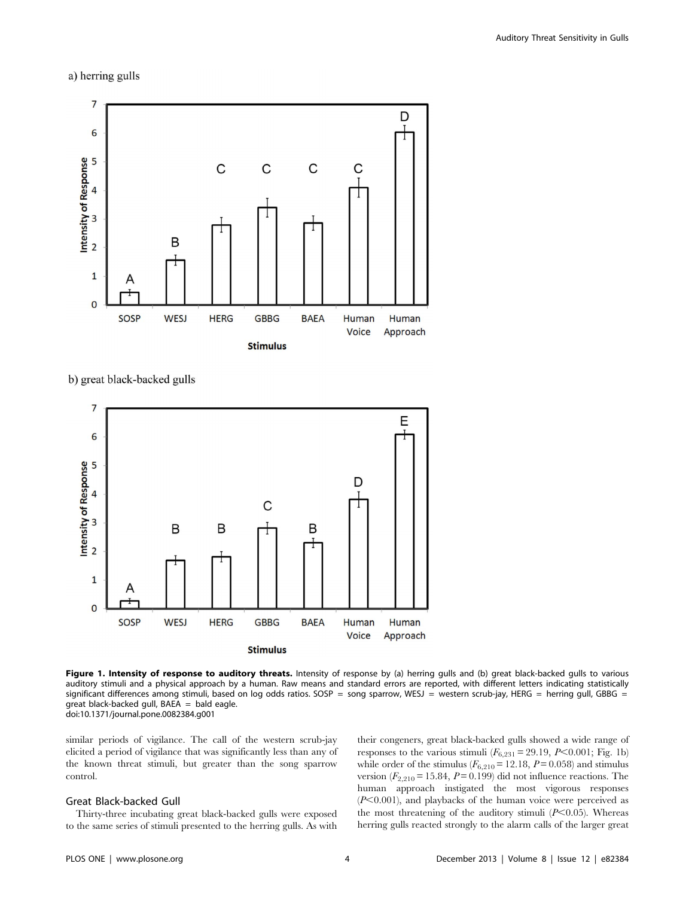a) herring gulls



b) great black-backed gulls



Figure 1. Intensity of response to auditory threats. Intensity of response by (a) herring gulls and (b) great black-backed gulls to various auditory stimuli and a physical approach by a human. Raw means and standard errors are reported, with different letters indicating statistically significant differences among stimuli, based on log odds ratios.  $SOSP =$  song sparrow, WESJ = western scrub-jay, HERG = herring gull, GBBG = great black-backed gull,  $BAEA =$  bald eagle. doi:10.1371/journal.pone.0082384.g001

similar periods of vigilance. The call of the western scrub-jay elicited a period of vigilance that was significantly less than any of the known threat stimuli, but greater than the song sparrow control.

# Great Black-backed Gull

Thirty-three incubating great black-backed gulls were exposed to the same series of stimuli presented to the herring gulls. As with their congeners, great black-backed gulls showed a wide range of responses to the various stimuli  $(F_{6,231} = 29.19, P<0.001;$  Fig. 1b) while order of the stimulus ( $F_{6,210}$  = 12.18, P = 0.058) and stimulus version ( $F_{2,210}$  = 15.84,  $P = 0.199$ ) did not influence reactions. The human approach instigated the most vigorous responses  $(P<0.001)$ , and playbacks of the human voice were perceived as the most threatening of the auditory stimuli  $(P<0.05)$ . Whereas herring gulls reacted strongly to the alarm calls of the larger great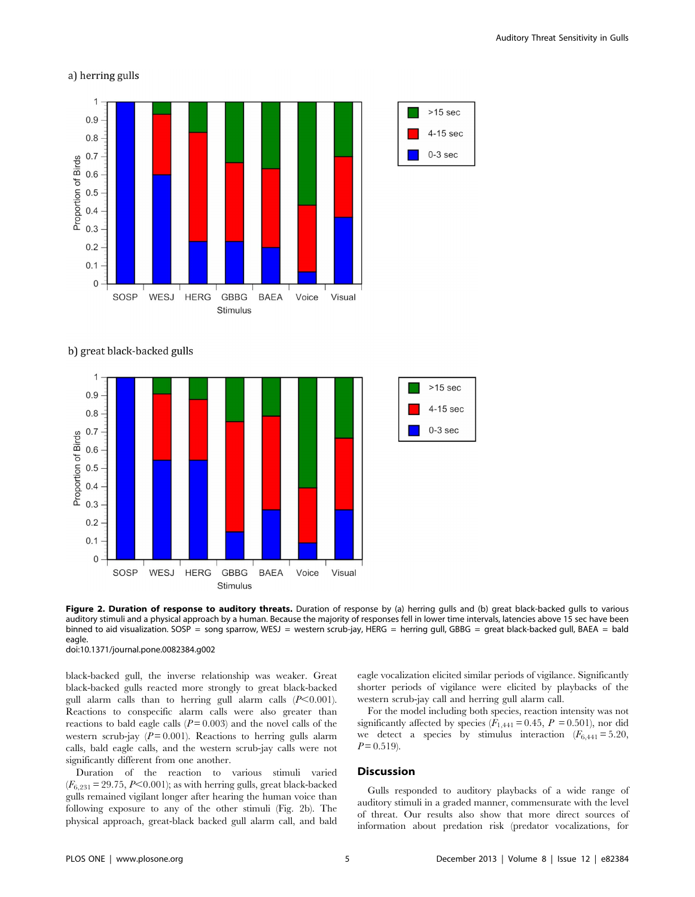# a) herring gulls





b) great black-backed gulls



Figure 2. Duration of response to auditory threats. Duration of response by (a) herring gulls and (b) great black-backed gulls to various auditory stimuli and a physical approach by a human. Because the majority of responses fell in lower time intervals, latencies above 15 sec have been binned to aid visualization. SOSP = song sparrow, WESJ = western scrub-jay, HERG = herring gull, GBBG = great black-backed gull, BAEA = bald eagle. doi:10.1371/journal.pone.0082384.g002

black-backed gull, the inverse relationship was weaker. Great black-backed gulls reacted more strongly to great black-backed gull alarm calls than to herring gull alarm calls  $(P<0.001)$ . Reactions to conspecific alarm calls were also greater than reactions to bald eagle calls  $(P = 0.003)$  and the novel calls of the western scrub-jay  $(P = 0.001)$ . Reactions to herring gulls alarm calls, bald eagle calls, and the western scrub-jay calls were not significantly different from one another.

Duration of the reaction to various stimuli varied  $(F_{6,231} = 29.75, P<0.001)$ ; as with herring gulls, great black-backed gulls remained vigilant longer after hearing the human voice than following exposure to any of the other stimuli (Fig. 2b). The physical approach, great-black backed gull alarm call, and bald eagle vocalization elicited similar periods of vigilance. Significantly shorter periods of vigilance were elicited by playbacks of the western scrub-jay call and herring gull alarm call.

For the model including both species, reaction intensity was not significantly affected by species  $(F_{1,441} = 0.45, P = 0.501)$ , nor did we detect a species by stimulus interaction  $(F_{6,441} = 5.20,$  $P = 0.519$ .

# **Discussion**

Gulls responded to auditory playbacks of a wide range of auditory stimuli in a graded manner, commensurate with the level of threat. Our results also show that more direct sources of information about predation risk (predator vocalizations, for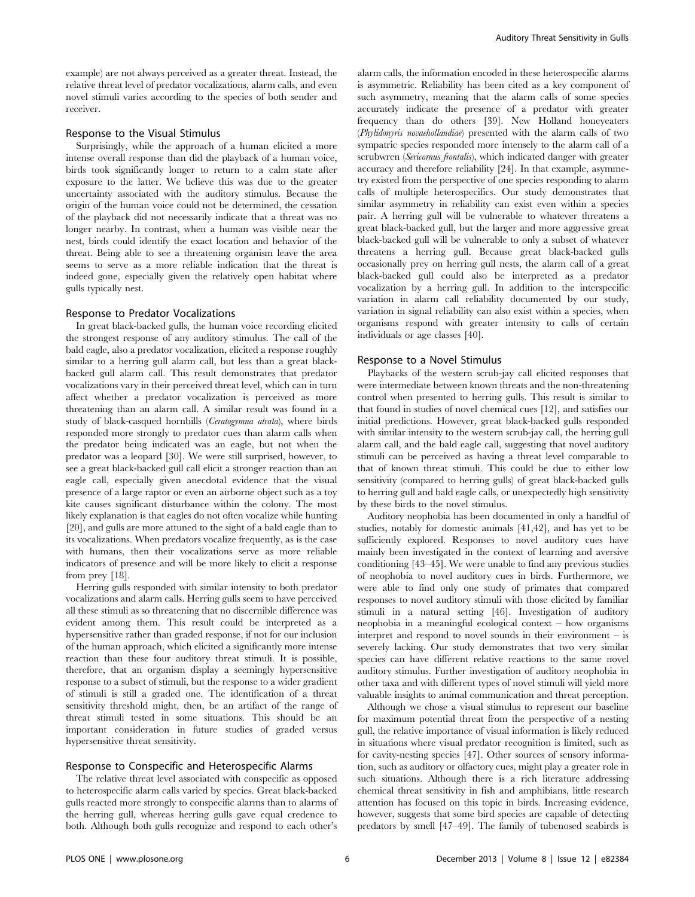example) are not always perceived as a greater threat. Instead, the relative threat level of predator vocalizations, alarm calls, and even novel stimuli varies according to the species of both sender and receiver.

# Response to the Visual Stimulus

Surprisingly, while the approach of a human elicited a more intense overall response than did the playback of a human voice, birds took significantly longer to return to a calm state after exposure to the latter. We believe this was due to the greater uncertainty associated with the auditory stimulus. Because the origin of the human voice could not be determined, the cessation of the playback did not necessarily indicate that a threat was no longer nearby. In contrast, when a human was visible near the nest, birds could identify the exact location and behavior of the threat. Being able to see a threatening organism leave the area seems to serve as a more reliable indication that the threat is indeed gone, especially given the relatively open habitat where gulls typically nest.

## Response to Predator Vocalizations

In great black-backed gulls, the human voice recording elicited the strongest response of any auditory stimulus. The call of the bald eagle, also a predator vocalization, elicited a response roughly similar to a herring gull alarm call, but less than a great blackbacked gull alarm call. This result demonstrates that predator vocalizations vary in their perceived threat level, which can in turn affect whether a predator vocalization is perceived as more threatening than an alarm call. A similar result was found in a study of black-casqued hornbills (Ceratogymna atrata), where birds responded more strongly to predator cues than alarm calls when the predator being indicated was an eagle, but not when the predator was a leopard [30]. We were still surprised, however, to see a great black-backed gull call elicit a stronger reaction than an eagle call, especially given anecdotal evidence that the visual presence of a large raptor or even an airborne object such as a toy kite causes significant disturbance within the colony. The most likely explanation is that eagles do not often vocalize while hunting [20], and gulls are more attuned to the sight of a bald eagle than to its vocalizations. When predators vocalize frequently, as is the case with humans, then their vocalizations serve as more reliable indicators of presence and will be more likely to elicit a response from prey [18].

Herring gulls responded with similar intensity to both predator vocalizations and alarm calls. Herring gulls seem to have perceived all these stimuli as so threatening that no discernible difference was evident among them. This result could be interpreted as a hypersensitive rather than graded response, if not for our inclusion of the human approach, which elicited a significantly more intense reaction than these four auditory threat stimuli. It is possible, therefore, that an organism display a seemingly hypersensitive response to a subset of stimuli, but the response to a wider gradient of stimuli is still a graded one. The identification of a threat sensitivity threshold might, then, be an artifact of the range of threat stimuli tested in some situations. This should be an important consideration in future studies of graded versus hypersensitive threat sensitivity.

# Response to Conspecific and Heterospecific Alarms

The relative threat level associated with conspecific as opposed to heterospecific alarm calls varied by species. Great black-backed gulls reacted more strongly to conspecific alarms than to alarms of the herring gull, whereas herring gulls gave equal credence to both. Although both gulls recognize and respond to each other's alarm calls, the information encoded in these heterospecific alarms is asymmetric. Reliability has been cited as a key component of such asymmetry, meaning that the alarm calls of some species accurately indicate the presence of a predator with greater frequency than do others [39]. New Holland honeyeaters (Phylidonyris novaehollandiae) presented with the alarm calls of two sympatric species responded more intensely to the alarm call of a scrubwren (Sericornus frontalis), which indicated danger with greater accuracy and therefore reliability [24]. In that example, asymmetry existed from the perspective of one species responding to alarm calls of multiple heterospecifics. Our study demonstrates that similar asymmetry in reliability can exist even within a species pair. A herring gull will be vulnerable to whatever threatens a great black-backed gull, but the larger and more aggressive great black-backed gull will be vulnerable to only a subset of whatever threatens a herring gull. Because great black-backed gulls occasionally prey on herring gull nests, the alarm call of a great black-backed gull could also be interpreted as a predator vocalization by a herring gull. In addition to the interspecific variation in alarm call reliability documented by our study, variation in signal reliability can also exist within a species, when organisms respond with greater intensity to calls of certain individuals or age classes [40].

#### Response to a Novel Stimulus

Playbacks of the western scrub-jay call elicited responses that were intermediate between known threats and the non-threatening control when presented to herring gulls. This result is similar to that found in studies of novel chemical cues [12], and satisfies our initial predictions. However, great black-backed gulls responded with similar intensity to the western scrub-jay call, the herring gull alarm call, and the bald eagle call, suggesting that novel auditory stimuli can be perceived as having a threat level comparable to that of known threat stimuli. This could be due to either low sensitivity (compared to herring gulls) of great black-backed gulls to herring gull and bald eagle calls, or unexpectedly high sensitivity by these birds to the novel stimulus.

Auditory neophobia has been documented in only a handful of studies, notably for domestic animals [41,42], and has yet to be sufficiently explored. Responses to novel auditory cues have mainly been investigated in the context of learning and aversive conditioning [43–45]. We were unable to find any previous studies of neophobia to novel auditory cues in birds. Furthermore, we were able to find only one study of primates that compared responses to novel auditory stimuli with those elicited by familiar stimuli in a natural setting [46]. Investigation of auditory neophobia in a meaningful ecological context – how organisms interpret and respond to novel sounds in their environment – is severely lacking. Our study demonstrates that two very similar species can have different relative reactions to the same novel auditory stimulus. Further investigation of auditory neophobia in other taxa and with different types of novel stimuli will yield more valuable insights to animal communication and threat perception.

Although we chose a visual stimulus to represent our baseline for maximum potential threat from the perspective of a nesting gull, the relative importance of visual information is likely reduced in situations where visual predator recognition is limited, such as for cavity-nesting species [47]. Other sources of sensory information, such as auditory or olfactory cues, might play a greater role in such situations. Although there is a rich literature addressing chemical threat sensitivity in fish and amphibians, little research attention has focused on this topic in birds. Increasing evidence, however, suggests that some bird species are capable of detecting predators by smell [47–49]. The family of tubenosed seabirds is